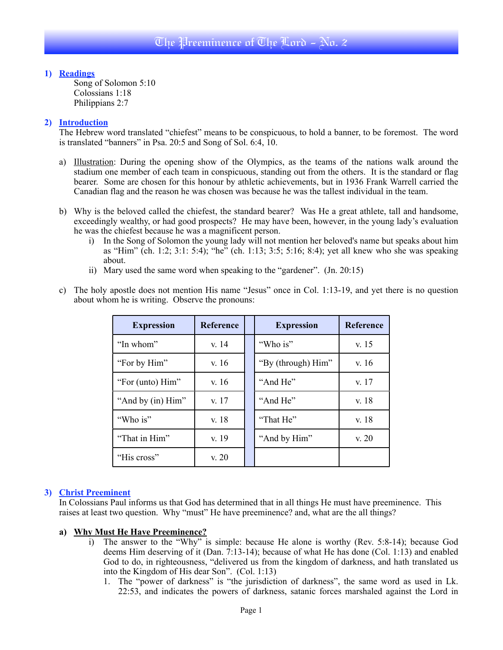# **1) Readings**

Song of Solomon 5:10 Colossians 1:18 Philippians 2:7

# **2) Introduction**

The Hebrew word translated "chiefest" means to be conspicuous, to hold a banner, to be foremost. The word is translated "banners" in Psa. 20:5 and Song of Sol. 6:4, 10.

- a) Illustration: During the opening show of the Olympics, as the teams of the nations walk around the stadium one member of each team in conspicuous, standing out from the others. It is the standard or flag bearer. Some are chosen for this honour by athletic achievements, but in 1936 Frank Warrell carried the Canadian flag and the reason he was chosen was because he was the tallest individual in the team.
- b) Why is the beloved called the chiefest, the standard bearer? Was He a great athlete, tall and handsome, exceedingly wealthy, or had good prospects? He may have been, however, in the young lady's evaluation he was the chiefest because he was a magnificent person.
	- i) In the Song of Solomon the young lady will not mention her beloved's name but speaks about him as "Him" (ch. 1:2; 3:1: 5:4); "he" (ch. 1:13; 3:5; 5:16; 8:4); yet all knew who she was speaking about.
	- ii) Mary used the same word when speaking to the "gardener". (Jn. 20:15)

| <b>Expression</b> | <b>Reference</b> | <b>Expression</b>  | <b>Reference</b> |
|-------------------|------------------|--------------------|------------------|
| "In whom"         | v. 14            | "Who is"           | v. 15            |
| "For by Him"      | v.16             | "By (through) Him" | v. 16            |
| "For (unto) Him"  | v. 16            | "And He"           | v. 17            |
| "And by (in) Him" | v. 17            | "And He"           | v. 18            |
| "Who is"          | v. 18            | "That He"          | v. 18            |
| "That in Him"     | v. 19            | "And by Him"       | v. 20            |
| "His cross"       | v. 20            |                    |                  |

c) The holy apostle does not mention His name "Jesus" once in Col. 1:13-19, and yet there is no question about whom he is writing. Observe the pronouns:

# **3) Christ Preeminent**

In Colossians Paul informs us that God has determined that in all things He must have preeminence. This raises at least two question. Why "must" He have preeminence? and, what are the all things?

## **a) Why Must He Have Preeminence?**

- i) The answer to the "Why" is simple: because He alone is worthy (Rev. 5:8-14); because God deems Him deserving of it (Dan.  $7:13-14$ ); because of what He has done (Col. 1:13) and enabled God to do, in righteousness, "delivered us from the kingdom of darkness, and hath translated us into the Kingdom of His dear Son". (Col. 1:13)
	- 1. The "power of darkness" is "the jurisdiction of darkness", the same word as used in Lk. 22:53, and indicates the powers of darkness, satanic forces marshaled against the Lord in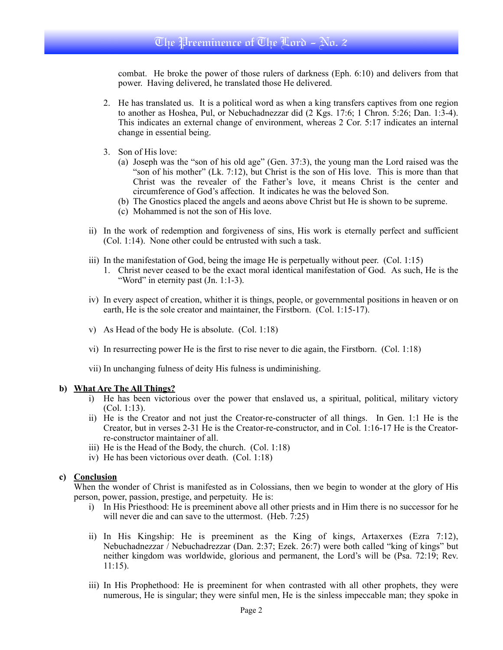# The Preeminence of The Lord - No. 2

combat. He broke the power of those rulers of darkness (Eph. 6:10) and delivers from that power. Having delivered, he translated those He delivered.

- 2. He has translated us. It is a political word as when a king transfers captives from one region to another as Hoshea, Pul, or Nebuchadnezzar did (2 Kgs. 17:6; 1 Chron. 5:26; Dan. 1:3-4). This indicates an external change of environment, whereas 2 Cor. 5:17 indicates an internal change in essential being.
- 3. Son of His love:
	- (a) Joseph was the "son of his old age" (Gen. 37:3), the young man the Lord raised was the "son of his mother" (Lk. 7:12), but Christ is the son of His love. This is more than that Christ was the revealer of the Father's love, it means Christ is the center and circumference of God's affection. It indicates he was the beloved Son.
	- (b) The Gnostics placed the angels and aeons above Christ but He is shown to be supreme.
	- (c) Mohammed is not the son of His love.
- ii) In the work of redemption and forgiveness of sins, His work is eternally perfect and sufficient (Col. 1:14). None other could be entrusted with such a task.
- iii) In the manifestation of God, being the image He is perpetually without peer. (Col. 1:15)
	- 1. Christ never ceased to be the exact moral identical manifestation of God. As such, He is the "Word" in eternity past (Jn. 1:1-3).
- iv) In every aspect of creation, whither it is things, people, or governmental positions in heaven or on earth, He is the sole creator and maintainer, the Firstborn. (Col. 1:15-17).
- v) As Head of the body He is absolute. (Col. 1:18)
- vi) In resurrecting power He is the first to rise never to die again, the Firstborn. (Col. 1:18)
- vii) In unchanging fulness of deity His fulness is undiminishing.

### **b) What Are The All Things?**

- i) He has been victorious over the power that enslaved us, a spiritual, political, military victory (Col. 1:13).
- ii) He is the Creator and not just the Creator-re-constructer of all things. In Gen. 1:1 He is the Creator, but in verses 2-31 He is the Creator-re-constructor, and in Col. 1:16-17 He is the Creatorre-constructor maintainer of all.
- iii) He is the Head of the Body, the church. (Col. 1:18)
- iv) He has been victorious over death. (Col. 1:18)

### **c) Conclusion**

When the wonder of Christ is manifested as in Colossians, then we begin to wonder at the glory of His person, power, passion, prestige, and perpetuity. He is:

- i) In His Priesthood: He is preeminent above all other priests and in Him there is no successor for he will never die and can save to the uttermost. (Heb. 7:25)
- ii) In His Kingship: He is preeminent as the King of kings, Artaxerxes (Ezra 7:12), Nebuchadnezzar / Nebuchadrezzar (Dan. 2:37; Ezek. 26:7) were both called "king of kings" but neither kingdom was worldwide, glorious and permanent, the Lord's will be (Psa. 72:19; Rev. 11:15).
- iii) In His Prophethood: He is preeminent for when contrasted with all other prophets, they were numerous, He is singular; they were sinful men, He is the sinless impeccable man; they spoke in